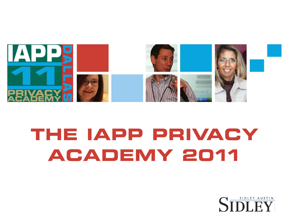

# THE IAPP PRIVACY ACADEMY 2011

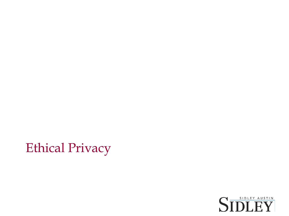

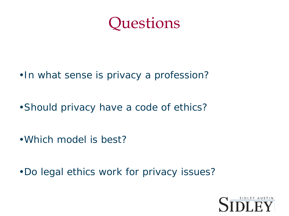

- •In what sense is privacy a profession?
- •Should privacy have a code of ethics?
- •Which model is best?
- •Do legal ethics work for privacy issues?

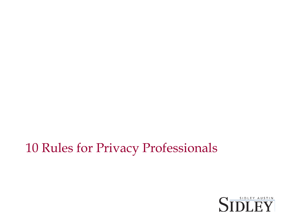### 10 Rules for Privacy Professionals

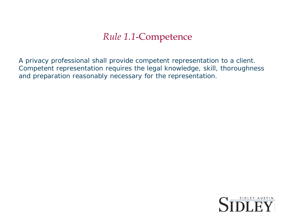### *Rule 1.1*-Competence

A privacy professional shall provide competent representation to a client. Competent representation requires the legal knowledge, skill, thoroughness and preparation reasonably necessary for the representation.

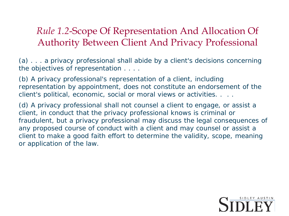### *Rule 1.2*-Scope Of Representation And Allocation Of Authority Between Client And Privacy Professional

(a) . . . a privacy professional shall abide by a client's decisions concerning the objectives of representation . . . .

(b) A privacy professional's representation of a client, including representation by appointment, does not constitute an endorsement of the client's political, economic, social or moral views or activities. . . .

(d) A privacy professional shall not counsel a client to engage, or assist a client, in conduct that the privacy professional knows is criminal or fraudulent, but a privacy professional may discuss the legal consequences of any proposed course of conduct with a client and may counsel or assist a client to make a good faith effort to determine the validity, scope, meaning or application of the law.

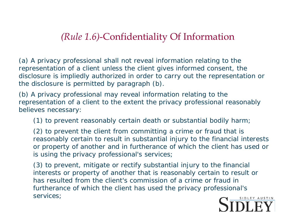### *(Rule 1.6)*-Confidentiality Of Information

(a) A privacy professional shall not reveal information relating to the representation of a client unless the client gives informed consent, the disclosure is impliedly authorized in order to carry out the representation or the disclosure is permitted by paragraph (b).

(b) A privacy professional may reveal information relating to the representation of a client to the extent the privacy professional reasonably believes necessary:

(1) to prevent reasonably certain death or substantial bodily harm;

(2) to prevent the client from committing a crime or fraud that is reasonably certain to result in substantial injury to the financial interests or property of another and in furtherance of which the client has used or is using the privacy professional's services;

(3) to prevent, mitigate or rectify substantial injury to the financial interests or property of another that is reasonably certain to result or has resulted from the client's commission of a crime or fraud in furtherance of which the client has used the privacy professional's services;

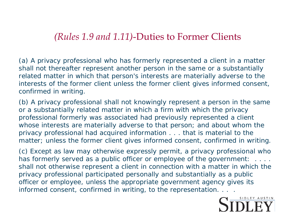#### *(Rules 1.9 and 1.11)*-Duties to Former Clients

(a) A privacy professional who has formerly represented a client in a matter shall not thereafter represent another person in the same or a substantially related matter in which that person's interests are materially adverse to the interests of the former client unless the former client gives informed consent, confirmed in writing.

(b) A privacy professional shall not knowingly represent a person in the same or a substantially related matter in which a firm with which the privacy professional formerly was associated had previously represented a client whose interests are materially adverse to that person; and about whom the privacy professional had acquired information . . . that is material to the matter; unless the former client gives informed consent, confirmed in writing.

(c) Except as law may otherwise expressly permit, a privacy professional who has formerly served as a public officer or employee of the government: . . . . shall not otherwise represent a client in connection with a matter in which the privacy professional participated personally and substantially as a public officer or employee, unless the appropriate government agency gives its informed consent, confirmed in writing, to the representation. . . .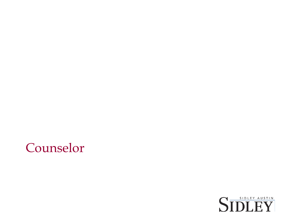

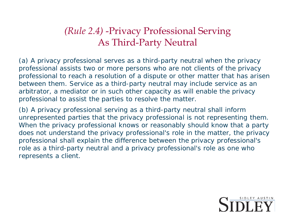### *(Rule 2.4)* -Privacy Professional Serving As Third-Party Neutral

(a) A privacy professional serves as a third-party neutral when the privacy professional assists two or more persons who are not clients of the privacy professional to reach a resolution of a dispute or other matter that has arisen between them. Service as a third-party neutral may include service as an arbitrator, a mediator or in such other capacity as will enable the privacy professional to assist the parties to resolve the matter.

(b) A privacy professional serving as a third-party neutral shall inform unrepresented parties that the privacy professional is not representing them. When the privacy professional knows or reasonably should know that a party does not understand the privacy professional's role in the matter, the privacy professional shall explain the difference between the privacy professional's role as a third-party neutral and a privacy professional's role as one who represents a client.

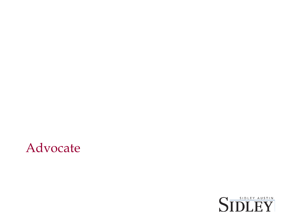

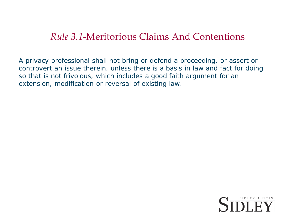### *Rule 3.1*-Meritorious Claims And Contentions

A privacy professional shall not bring or defend a proceeding, or assert or controvert an issue therein, unless there is a basis in law and fact for doing so that is not frivolous, which includes a good faith argument for an extension, modification or reversal of existing law.

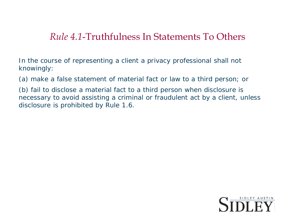### *Rule 4.1*-Truthfulness In Statements To Others

In the course of representing a client a privacy professional shall not knowingly:

(a) make a false statement of material fact or law to a third person; or

(b) fail to disclose a material fact to a third person when disclosure is necessary to avoid assisting a criminal or fraudulent act by a client, unless disclosure is prohibited by Rule 1.6.

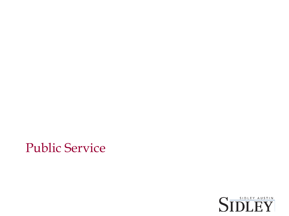### Public Service

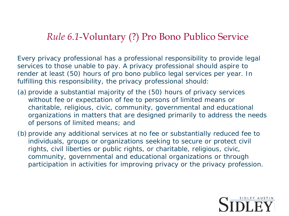### *Rule 6.1*-Voluntary (?) Pro Bono Publico Service

Every privacy professional has a professional responsibility to provide legal services to those unable to pay. A privacy professional should aspire to render at least (50) hours of pro bono publico legal services per year. In fulfilling this responsibility, the privacy professional should:

- (a) provide a substantial majority of the (50) hours of privacy services without fee or expectation of fee to persons of limited means or charitable, religious, civic, community, governmental and educational organizations in matters that are designed primarily to address the needs of persons of limited means; and
- (b) provide any additional services at no fee or substantially reduced fee to individuals, groups or organizations seeking to secure or protect civil rights, civil liberties or public rights, or charitable, religious, civic, community, governmental and educational organizations or through participation in activities for improving privacy or the privacy profession.

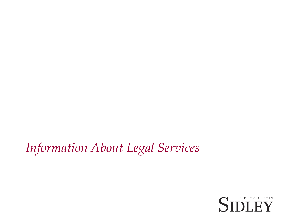## *Information About Legal Services*

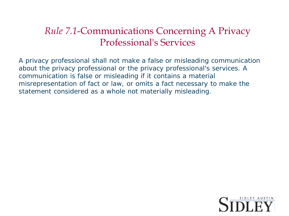### *Rule 7.1*-Communications Concerning A Privacy Professional's Services

A privacy professional shall not make a false or misleading communication about the privacy professional or the privacy professional's services. A communication is false or misleading if it contains a material misrepresentation of fact or law, or omits a fact necessary to make the statement considered as a whole not materially misleading.

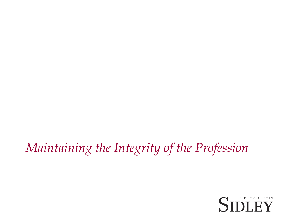# *Maintaining the Integrity of the Profession*

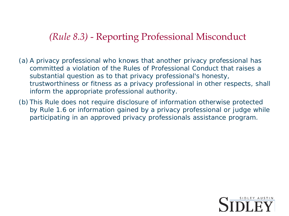### *(Rule 8.3)* - Reporting Professional Misconduct

- (a) A privacy professional who knows that another privacy professional has committed a violation of the Rules of Professional Conduct that raises a substantial question as to that privacy professional's honesty, trustworthiness or fitness as a privacy professional in other respects, shall inform the appropriate professional authority.
- (b) This Rule does not require disclosure of information otherwise protected by Rule 1.6 or information gained by a privacy professional or judge while participating in an approved privacy professionals assistance program.

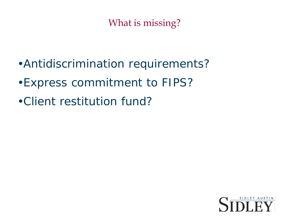### What is missing?

- •Antidiscrimination requirements?
- •Express commitment to FIPS?
- •Client restitution fund?

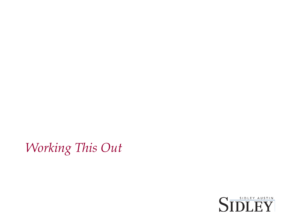*Working This Out*

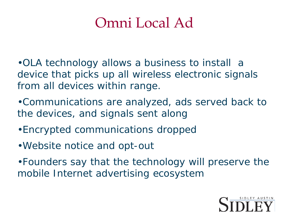# Omni Local Ad

•OLA technology allows a business to install a device that picks up all wireless electronic signals from all devices within range.

•Communications are analyzed, ads served back to the devices, and signals sent along

- •Encrypted communications dropped
- •Website notice and opt-out

•Founders say that the technology will preserve the mobile Internet advertising ecosystem